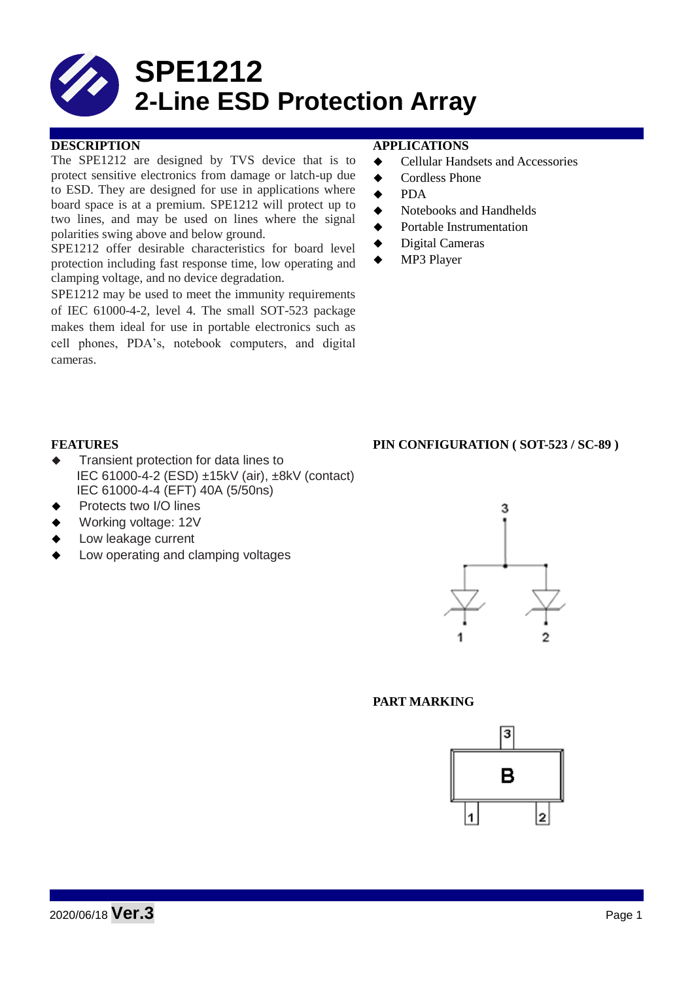

## **DESCRIPTION APPLICATIONS**

The SPE1212 are designed by TVS device that is to protect sensitive electronics from damage or latch-up due to ESD. They are designed for use in applications where board space is at a premium. SPE1212 will protect up to two lines, and may be used on lines where the signal polarities swing above and below ground.

SPE1212 offer desirable characteristics for board level protection including fast response time, low operating and clamping voltage, and no device degradation.

SPE1212 may be used to meet the immunity requirements of IEC 61000-4-2, level 4. The small SOT-523 package makes them ideal for use in portable electronics such as cell phones, PDA's, notebook computers, and digital cameras.

- **←** Cellular Handsets and Accessories
- ◆ Cordless Phone
- $\bullet$  PDA
- Notebooks and Handhelds
- Portable Instrumentation
- ◆ Digital Cameras
- MP3 Player

## **FEATURES PIN CONFIGURATION ( SOT-523 / SC-89 )**

- $\triangleleft$  Transient protection for data lines to IEC 61000-4-2 (ESD) ±15kV (air), ±8kV (contact) IEC 61000-4-4 (EFT) 40A (5/50ns)
- Protects two I/O lines
- Working voltage: 12V
- Low leakage current
- Low operating and clamping voltages



## **PART MARKING**

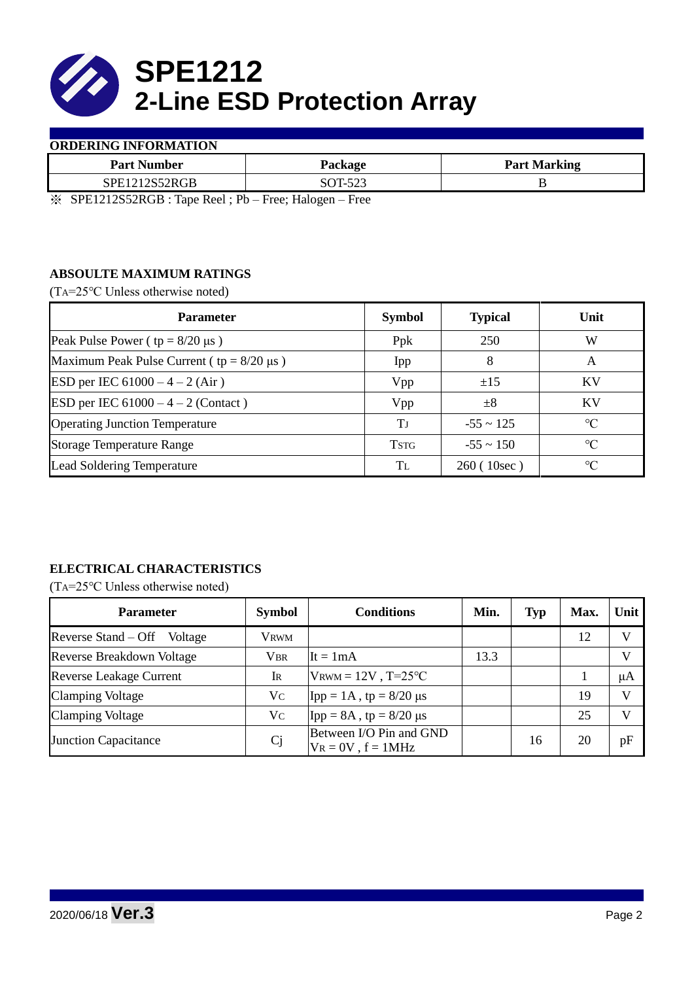

## **ORDERING INFORMATION**

| <b>Part Number</b>                          | Package | <b>Part Marking</b> |  |  |
|---------------------------------------------|---------|---------------------|--|--|
| 52RGB<br>$\mathsf{S}\mathrm{P}\mathrm{F}12$ | OT 522  |                     |  |  |

※ SPE1212S52RGB : Tape Reel ; Pb – Free; Halogen – Free

# **ABSOULTE MAXIMUM RATINGS**

(TA=25℃ Unless otherwise noted)

| <b>Parameter</b>                                 | <b>Symbol</b> | <b>Typical</b> | Unit            |
|--------------------------------------------------|---------------|----------------|-----------------|
| Peak Pulse Power ( $tp = 8/20 \mu s$ )           | Ppk           | 250            | W               |
| Maximum Peak Pulse Current ( $tp = 8/20 \mu s$ ) | Ipp           | 8              | A               |
| ESD per IEC $61000 - 4 - 2$ (Air)                | Vpp           | ±15            | KV              |
| ESD per IEC $61000 - 4 - 2$ (Contact)            | Vpp           | $\pm 8$        | KV              |
| <b>Operating Junction Temperature</b>            | Ŧт            | $-55 \sim 125$ | $\rm ^{\circ}C$ |
| <b>Storage Temperature Range</b>                 | <b>TSTG</b>   | $-55 \sim 150$ | $\rm ^{\circ}C$ |
| Lead Soldering Temperature                       | Tī.           | 260(10sec)     | $\rm ^{\circ}C$ |

## **ELECTRICAL CHARACTERISTICS**

(TA=25℃ Unless otherwise noted)

| <b>Parameter</b>               | <b>Symbol</b>  | <b>Conditions</b>                                  | Min. | <b>Typ</b> | Max. | Unit         |
|--------------------------------|----------------|----------------------------------------------------|------|------------|------|--------------|
| Reverse Stand – Off<br>Voltage | Vrwm           |                                                    |      |            | 12   |              |
| Reverse Breakdown Voltage      | <b>VBR</b>     | $\text{It} = 1 \text{mA}$                          | 13.3 |            |      |              |
| <b>Reverse Leakage Current</b> | Ir             | $V_{\text{RWM}} = 12V$ , T=25°C                    |      |            |      | μA           |
| <b>Clamping Voltage</b>        | Vc             | $\text{Ipp} = 1 \text{A}$ , tp = 8/20 µs           |      |            | 19   |              |
| <b>Clamping Voltage</b>        | Vc             | $\text{Ipp} = 8A$ , tp = 8/20 µs                   |      |            | 25   | $\mathbf{V}$ |
| <b>Junction Capacitance</b>    | C <sub>j</sub> | Between I/O Pin and GND<br>$V_R = 0V$ , $f = 1MHz$ |      | 16         | 20   | pF           |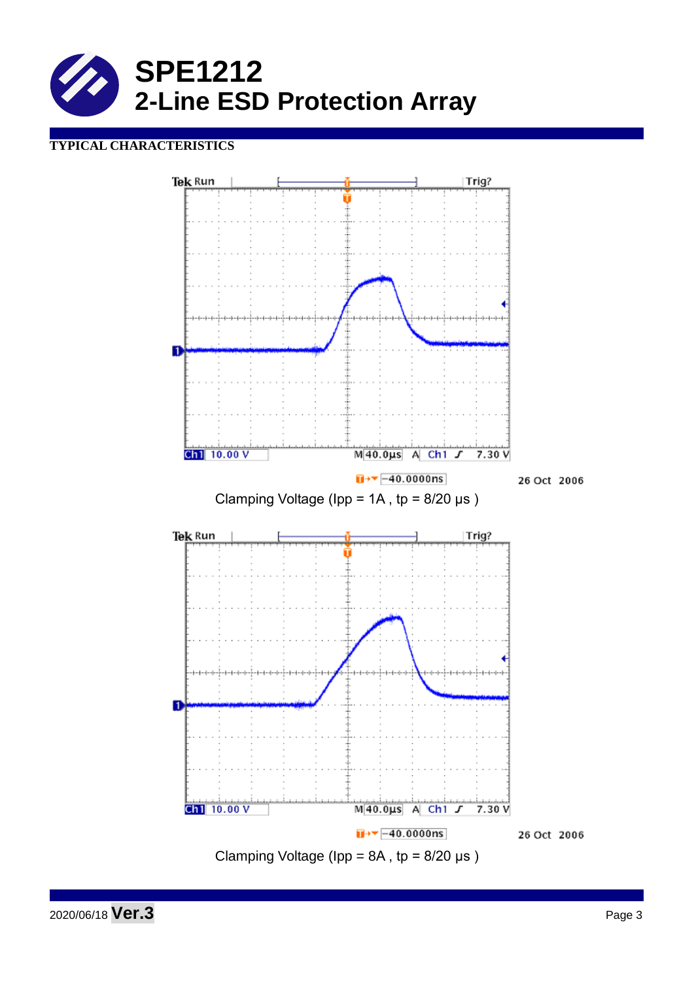

# **TYPICAL CHARACTERISTICS**



2020/06/18 **Ver.3** Page <sup>3</sup>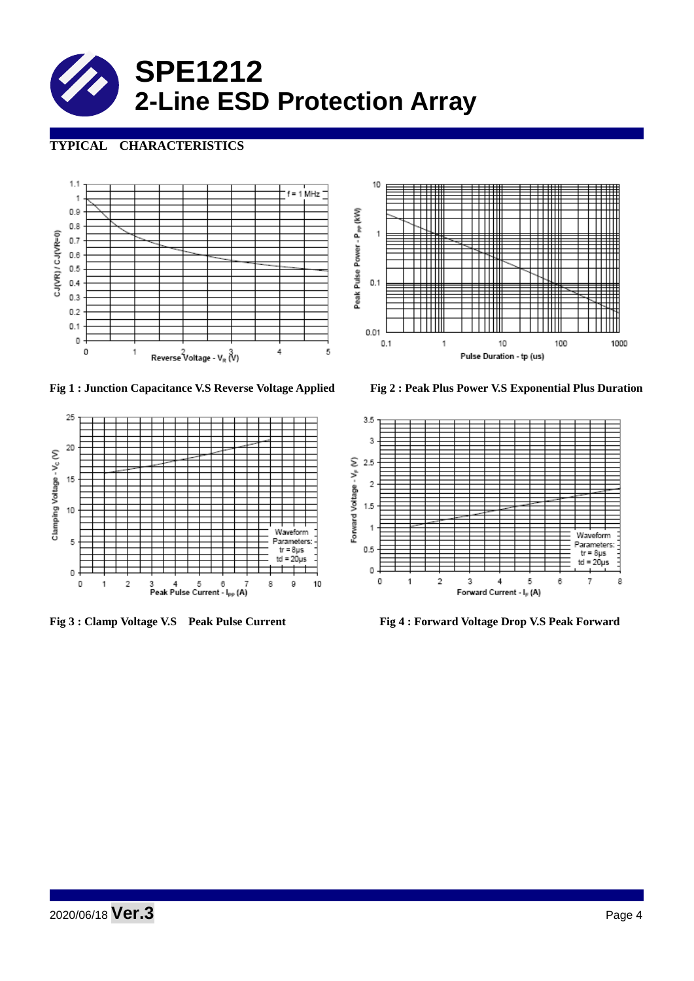

# **TYPICAL CHARACTERISTICS**



 $\| \cdot \|$  $0.01$  $0.1$  $\mathbf{1}$ 5 Pulse Duration - tp (us)

Peak Pulse Power - P<sub>PP</sub> (KVV)

10

 $\mathbf{1}$ 

 $0.1$ 

' I I III

▦

╫╫

**Fig 1 : Junction Capacitance V.S Reverse Voltage Applied Fig 2 : Peak Plus Power V.S Exponential Plus Duration**



10

<del>। । । । ।</del>

 $\mathbb{H} \mathbb{H}$ 

 $\mathbf{1}$ 

┯

₩

100

1000



**Fig 3 : Clamp Voltage V.S Peak Pulse Current Fig 4 : Forward Voltage Drop V.S Peak Forward**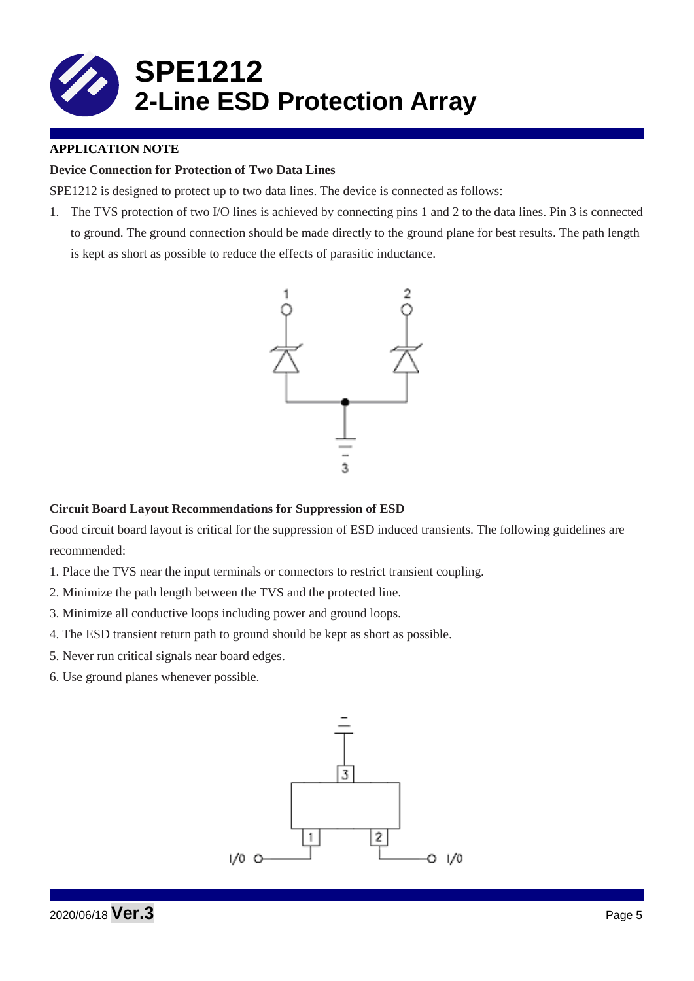

## **APPLICATION NOTE**

## **Device Connection for Protection of Two Data Lines**

SPE1212 is designed to protect up to two data lines. The device is connected as follows:

1. The TVS protection of two I/O lines is achieved by connecting pins 1 and 2 to the data lines. Pin 3 is connected to ground. The ground connection should be made directly to the ground plane for best results. The path length is kept as short as possible to reduce the effects of parasitic inductance.



#### **Circuit Board Layout Recommendations for Suppression of ESD**

Good circuit board layout is critical for the suppression of ESD induced transients. The following guidelines are recommended:

- 1. Place the TVS near the input terminals or connectors to restrict transient coupling.
- 2. Minimize the path length between the TVS and the protected line.
- 3. Minimize all conductive loops including power and ground loops.
- 4. The ESD transient return path to ground should be kept as short as possible.
- 5. Never run critical signals near board edges.
- 6. Use ground planes whenever possible.